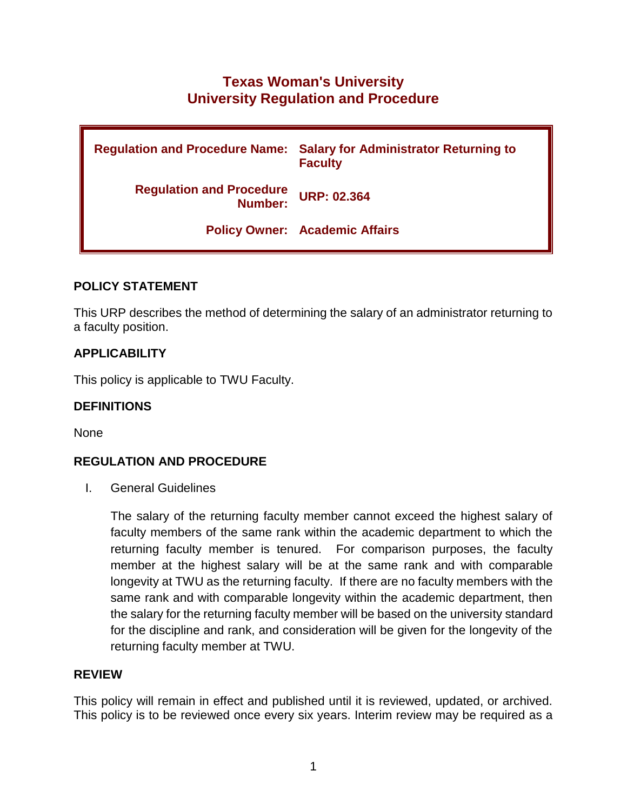# **Texas Woman's University University Regulation and Procedure**

| <b>Regulation and Procedure Name:</b>      | <b>Salary for Administrator Returning to</b><br><b>Faculty</b> |
|--------------------------------------------|----------------------------------------------------------------|
| <b>Regulation and Procedure</b><br>Number: | <b>URP: 02.364</b>                                             |
|                                            | <b>Policy Owner: Academic Affairs</b>                          |

#### **POLICY STATEMENT**

This URP describes the method of determining the salary of an administrator returning to a faculty position.

#### **APPLICABILITY**

This policy is applicable to TWU Faculty.

#### **DEFINITIONS**

None

### **REGULATION AND PROCEDURE**

I. General Guidelines

The salary of the returning faculty member cannot exceed the highest salary of faculty members of the same rank within the academic department to which the returning faculty member is tenured. For comparison purposes, the faculty member at the highest salary will be at the same rank and with comparable longevity at TWU as the returning faculty. If there are no faculty members with the same rank and with comparable longevity within the academic department, then the salary for the returning faculty member will be based on the university standard for the discipline and rank, and consideration will be given for the longevity of the returning faculty member at TWU.

#### **REVIEW**

This policy will remain in effect and published until it is reviewed, updated, or archived. This policy is to be reviewed once every six years. Interim review may be required as a